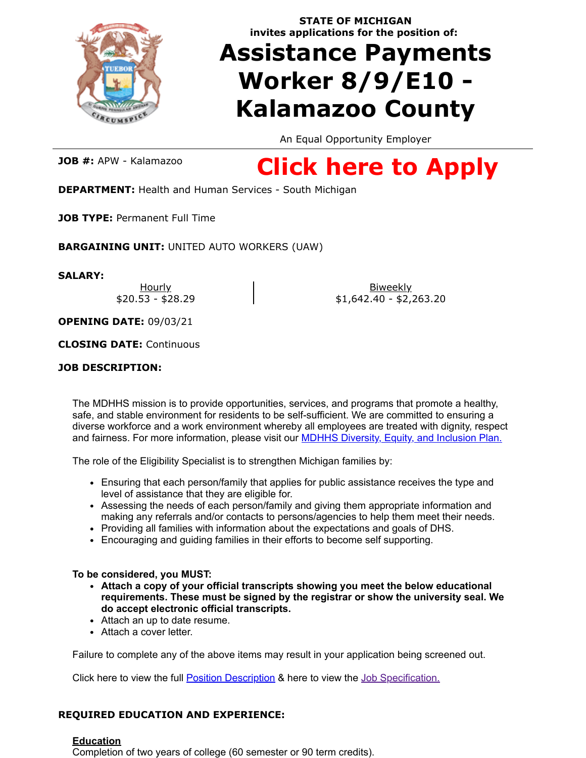

**STATE OF MICHIGAN invites applications for the position of:**

# **Assistance Payments Worker 8/9/E10 - Kalamazoo County**

An Equal Opportunity Employer

**JOB #:** APW - Kalamazoo

# **[Click here to Apply](https://www.governmentjobs.com/careers/michigan/jobs/1272657/assistance-payments-worker-8-9-e10-kalamazoo-county)**

**DEPARTMENT:** Health and Human Services - South Michigan

**JOB TYPE:** Permanent Full Time

**BARGAINING UNIT:** UNITED AUTO WORKERS (UAW)

**SALARY:**

Hourly \$20.53 - \$28.29

Biweekly \$1,642.40 - \$2,263.20

**OPENING DATE:** 09/03/21

**CLOSING DATE:** Continuous

# **JOB DESCRIPTION:**

The MDHHS mission is to provide opportunities, services, and programs that promote a healthy, safe, and stable environment for residents to be self-sufficient. We are committed to ensuring a diverse workforce and a work environment whereby all employees are treated with dignity, respect and fairness. For more information, please visit our [MDHHS Diversity, Equity, and Inclusion Plan.](https://www.michigan.gov/documents/mdhhs/MDHHS_Diversity_Equity_and_Inclusion_Plan_649033_7.pdf)

The role of the Eligibility Specialist is to strengthen Michigan families by:

- Ensuring that each person/family that applies for public assistance receives the type and level of assistance that they are eligible for.
- Assessing the needs of each person/family and giving them appropriate information and making any referrals and/or contacts to persons/agencies to help them meet their needs.
- Providing all families with information about the expectations and goals of DHS.
- Encouraging and guiding families in their efforts to become self supporting.

# **To be considered, you MUST:**

- **Attach a copy of your official transcripts showing you meet the below educational requirements. These must be signed by the registrar or show the university seal. We do accept electronic official transcripts.**
- Attach an up to date resume.
- Attach a cover letter.

Failure to complete any of the above items may result in your application being screened out.

Click here to view the full **[Position Description](https://mcsc.state.mi.us/AgencyPDFs/APW%20Composite%20Preapproved%209132021.pdf)** & here to view the [Job Specification.](https://www.michigan.gov/documents/AssistancePaymentsWorker_12090_7.pdf)

# **REQUIRED EDUCATION AND EXPERIENCE:**

### **Education**

Completion of two years of college (60 semester or 90 term credits).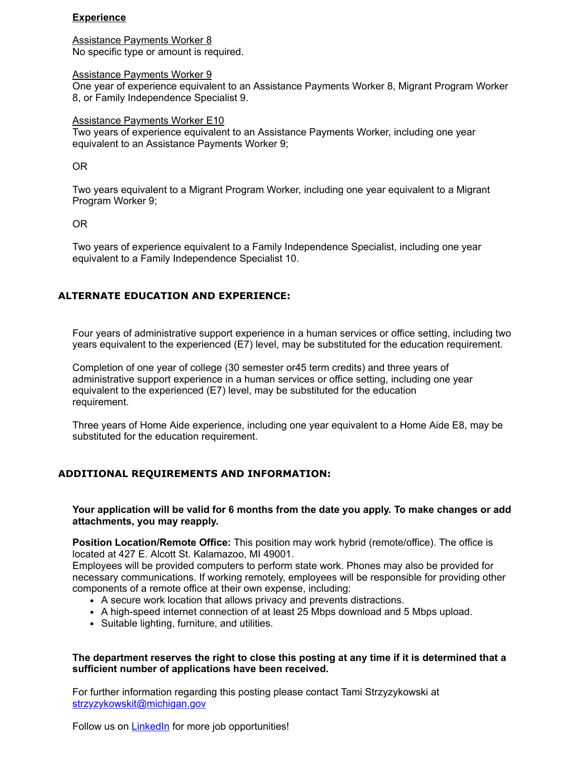### **Experience**

Assistance Payments Worker 8 No specific type or amount is required.

#### Assistance Payments Worker 9

One year of experience equivalent to an Assistance Payments Worker 8, Migrant Program Worker 8, or Family Independence Specialist 9.

#### Assistance Payments Worker E10

Two years of experience equivalent to an Assistance Payments Worker, including one year equivalent to an Assistance Payments Worker 9;

#### OR

Two years equivalent to a Migrant Program Worker, including one year equivalent to a Migrant Program Worker 9;

#### OR

Two years of experience equivalent to a Family Independence Specialist, including one year equivalent to a Family Independence Specialist 10.

## **ALTERNATE EDUCATION AND EXPERIENCE:**

Four years of administrative support experience in a human services or office setting, including two years equivalent to the experienced (E7) level, may be substituted for the education requirement.

Completion of one year of college (30 semester or45 term credits) and three years of administrative support experience in a human services or office setting, including one year equivalent to the experienced (E7) level, may be substituted for the education requirement.

Three years of Home Aide experience, including one year equivalent to a Home Aide E8, may be substituted for the education requirement.

### **ADDITIONAL REQUIREMENTS AND INFORMATION:**

**Your application will be valid for 6 months from the date you apply. To make changes or add attachments, you may reapply.**

**Position Location/Remote Office:** This position may work hybrid (remote/office). The office is located at 427 E. Alcott St. Kalamazoo, MI 49001.

Employees will be provided computers to perform state work. Phones may also be provided for necessary communications. If working remotely, employees will be responsible for providing other components of a remote office at their own expense, including:

- A secure work location that allows privacy and prevents distractions.
- A high-speed internet connection of at least 25 Mbps download and 5 Mbps upload.
- Suitable lighting, furniture, and utilities.

#### **The department reserves the right to close this posting at any time if it is determined that a sufficient number of applications have been received.**

For further information regarding this posting please contact Tami Strzyzykowski at [strzyzykowskit@michigan.gov](mailto:strzyzykowskit@michigan.gov)

Follow us on **LinkedIn** for more job opportunities!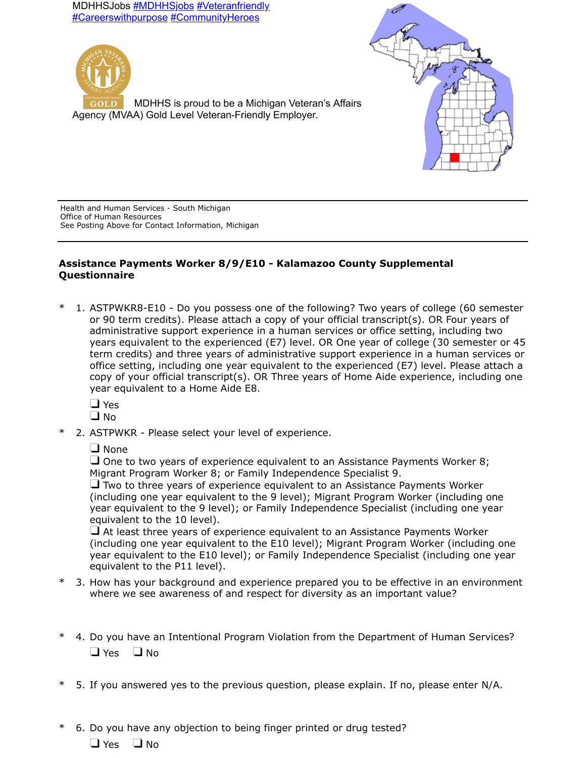MDHHSJobs **[#MDHHSjobs](https://gcc01.safelinks.protection.outlook.com/?url=https%3A%2F%2Fwww.linkedin.com%2Ffeed%2Fhashtag%2F%3Fkeywords%3D%2523MDHHSjobs&data=02%7C01%7CMeyersK3%40michigan.gov%7Cbb395664e318473f2ba808d7d4ae4417%7Cd5fb7087377742ad966a892ef47225d1%7C0%7C0%7C637211717236342604&sdata=7j%2BCer7xuEHLvgJKFMEES23cXpPEDqjazMRdBQiaIA4%3D&reserved=0) [#Veteranfriendly](https://gcc01.safelinks.protection.outlook.com/?url=https%3A%2F%2Fwww.linkedin.com%2Ffeed%2Fhashtag%2F%3Fkeywords%3D%2523Veteranfriendly&data=02%7C01%7CMeyersK3%40michigan.gov%7Cbb395664e318473f2ba808d7d4ae4417%7Cd5fb7087377742ad966a892ef47225d1%7C0%7C0%7C637211717236342604&sdata=yURt0GHFDkqOxf1x%2FkXAAf1aDcqXrYLM8FaEd8C6ouY%3D&reserved=0)** [#Careerswithpurpose](https://gcc01.safelinks.protection.outlook.com/?url=https%3A%2F%2Fwww.linkedin.com%2Ffeed%2Fhashtag%2F%3Fkeywords%3D%2523Careerswithpurpose&data=02%7C01%7CMeyersK3%40michigan.gov%7Cbb395664e318473f2ba808d7d4ae4417%7Cd5fb7087377742ad966a892ef47225d1%7C0%7C0%7C637211717236342604&sdata=ZfRqVL1Qvgn9G62qx5hUeS95AiPR%2FRIGVR6GC3hDvKI%3D&reserved=0) [#CommunityHeroes](https://gcc01.safelinks.protection.outlook.com/?url=https%3A%2F%2Fwww.linkedin.com%2Ffeed%2Fhashtag%2F%3Fkeywords%3D%2523CommunityHeroes&data=02%7C01%7CMeyersK3%40michigan.gov%7Cbb395664e318473f2ba808d7d4ae4417%7Cd5fb7087377742ad966a892ef47225d1%7C0%7C0%7C637211717236352562&sdata=RynbNLPHxPxVJfCO5csxu1lpa49GYlms4UCFgYoGxDU%3D&reserved=0)





Agency (MVAA) Gold Level Veteran-Friendly Employer.

Health and Human Services - South Michigan Office of Human Resources See Posting Above for Contact Information, Michigan

# **Assistance Payments Worker 8/9/E10 - Kalamazoo County Supplemental Questionnaire**

1. ASTPWKR8-E10 - Do you possess one of the following? Two years of college (60 semester or 90 term credits). Please attach a copy of your official transcript(s). OR Four years of administrative support experience in a human services or office setting, including two years equivalent to the experienced (E7) level. OR One year of college (30 semester or 45 term credits) and three years of administrative support experience in a human services or office setting, including one year equivalent to the experienced (E7) level. Please attach a copy of your official transcript(s). OR Three years of Home Aide experience, including one year equivalent to a Home Aide E8.

**D** Yes

 $\square$  No

\* 2. ASTPWKR - Please select your level of experience.

□ None

 $\Box$  One to two years of experience equivalent to an Assistance Payments Worker 8; Migrant Program Worker 8; or Family Independence Specialist 9.

 $\Box$  Two to three vears of experience equivalent to an Assistance Payments Worker (including one year equivalent to the 9 level); Migrant Program Worker (including one year equivalent to the 9 level); or Family Independence Specialist (including one year equivalent to the 10 level).

 $\Box$  At least three years of experience equivalent to an Assistance Payments Worker (including one year equivalent to the E10 level); Migrant Program Worker (including one year equivalent to the E10 level); or Family Independence Specialist (including one year equivalent to the P11 level).

- 3. How has your background and experience prepared you to be effective in an environment where we see awareness of and respect for diversity as an important value?
- \* 4. Do you have an Intentional Program Violation from the Department of Human Services?  $\Box$  Yes  $\Box$  No
- 5. If you answered yes to the previous question, please explain. If no, please enter N/A.

\* 6. Do you have any objection to being finger printed or drug tested?  $\Box$  Yes  $\Box$  No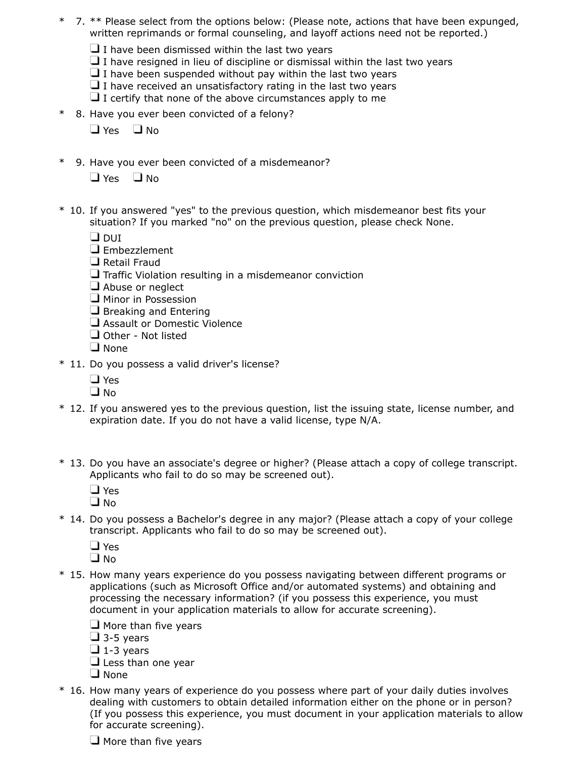- \* 7. \*\* Please select from the options below: (Please note, actions that have been expunged, written reprimands or formal counseling, and layoff actions need not be reported.)
	- $\Box$  I have been dismissed within the last two years
	- $\Box$  I have resigned in lieu of discipline or dismissal within the last two years
	- $\Box$  I have been suspended without pay within the last two years
	- $\Box$  I have received an unsatisfactory rating in the last two years
	- $\Box$  I certify that none of the above circumstances apply to me
- \* 8. Have you ever been convicted of a felony?

 $\Box$  Yes  $\Box$  No

- \* 9. Have you ever been convicted of a misdemeanor?
	- $\Box$  Yes  $\Box$  No
- \* 10. If you answered "yes" to the previous question, which misdemeanor best fits your situation? If you marked "no" on the previous question, please check None.
	- $\Box$  DUI
	- $\square$  Embezzlement
	- $\Box$  Retail Fraud
	- $\Box$  Traffic Violation resulting in a misdemeanor conviction
	- Abuse or neglect
	- **H** Minor in Possession
	- $\Box$  Breaking and Entering
	- **Example 3 Assault or Domestic Violence**
	- Other Not listed
	- $\square$  None
- \* 11. Do you possess a valid driver's license?
	- □ Yes
	- $\Box$  No.
- \* 12. If you answered yes to the previous question, list the issuing state, license number, and expiration date. If you do not have a valid license, type N/A.
- \* 13. Do you have an associate's degree or higher? (Please attach a copy of college transcript. Applicants who fail to do so may be screened out).
	- **D** Yes
	- $\Box$  No
- \* 14. Do you possess a Bachelor's degree in any major? (Please attach a copy of your college transcript. Applicants who fail to do so may be screened out).
	- □ Yes
	- $\Box$  No
- \* 15. How many years experience do you possess navigating between different programs or applications (such as Microsoft Office and/or automated systems) and obtaining and processing the necessary information? (if you possess this experience, you must document in your application materials to allow for accurate screening).

 $\Box$  More than five years

- $\Box$  3-5 years
- $\Box$  1-3 years
- $\Box$  Less than one year
- $\Box$  None
- \* 16. How many years of experience do you possess where part of your daily duties involves dealing with customers to obtain detailed information either on the phone or in person? (If you possess this experience, you must document in your application materials to allow for accurate screening).
	- $\Box$  More than five years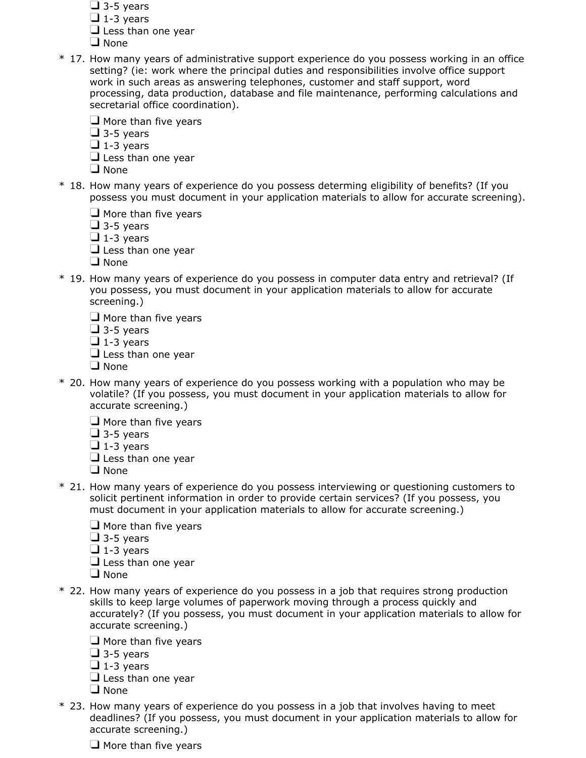- $\Box$  3-5 years
- $\Box$  1-3 years
- $\Box$  Less than one year
- **Q** None
- \* 17. How many years of administrative support experience do you possess working in an office setting? (ie: work where the principal duties and responsibilities involve office support work in such areas as answering telephones, customer and staff support, word processing, data production, database and file maintenance, performing calculations and secretarial office coordination).
	- $\Box$  More than five years
	- $\Box$  3-5 years
	- $\Box$  1-3 years
	- $\Box$  Less than one year
	- $\Box$  None
- \* 18. How many years of experience do you possess determing eligibility of benefits? (If you possess you must document in your application materials to allow for accurate screening).
	- $\Box$  More than five years
	- $\Box$  3-5 years
	- $\Box$  1-3 years
	- $\Box$  Less than one year
	- $\Box$  None
- \* 19. How many years of experience do you possess in computer data entry and retrieval? (If you possess, you must document in your application materials to allow for accurate screening.)
	- $\Box$  More than five years
	- $\Box$  3-5 years
	- $\Box$  1-3 years
	- $\Box$  Less than one year
	- $\Box$  None
- \* 20. How many years of experience do you possess working with a population who may be volatile? (If you possess, you must document in your application materials to allow for accurate screening.)
	- $\Box$  More than five years
	- $\Box$  3-5 years
	- $\Box$  1-3 years
	- $\Box$  Less than one year
	- □ None
- \* 21. How many years of experience do you possess interviewing or questioning customers to solicit pertinent information in order to provide certain services? (If you possess, you must document in your application materials to allow for accurate screening.)
	- $\Box$  More than five years
	- $\Box$  3-5 years
	- $\Box$  1-3 years
	- $\Box$  Less than one year
	- $\Box$  None
- \* 22. How many years of experience do you possess in a job that requires strong production skills to keep large volumes of paperwork moving through a process quickly and accurately? (If you possess, you must document in your application materials to allow for accurate screening.)
	- $\Box$  More than five years
	- $\Box$  3-5 years
	- $\Box$  1-3 years
	- $\Box$  Less than one year
	- $\Box$  None
- \* 23. How many years of experience do you possess in a job that involves having to meet deadlines? (If you possess, you must document in your application materials to allow for accurate screening.)
	- $\Box$  More than five years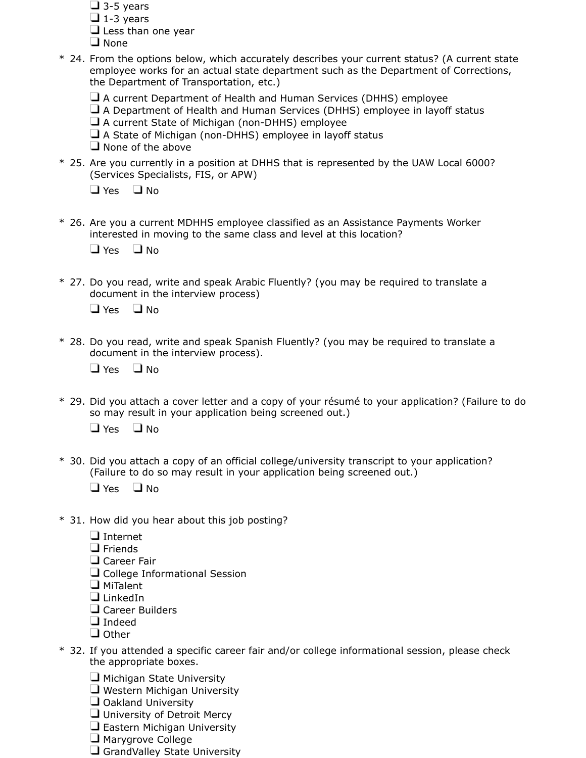- $\Box$  3-5 years
- $\Box$  1-3 years
- $\Box$  Less than one year
- $\Box$  None
- \* 24. From the options below, which accurately describes your current status? (A current state employee works for an actual state department such as the Department of Corrections, the Department of Transportation, etc.)
	- $\Box$  A current Department of Health and Human Services (DHHS) employee
	- $\Box$  A Department of Health and Human Services (DHHS) employee in layoff status
	- $\Box$  A current State of Michigan (non-DHHS) employee
	- $\Box$  A State of Michigan (non-DHHS) employee in layoff status
	- $\Box$  None of the above
- \* 25. Are you currently in a position at DHHS that is represented by the UAW Local 6000? (Services Specialists, FIS, or APW)

 $\Box$  Yes  $\Box$  No

\* 26. Are you a current MDHHS employee classified as an Assistance Payments Worker interested in moving to the same class and level at this location?

 $\Box$  Yes  $\Box$  No

\* 27. Do you read, write and speak Arabic Fluently? (you may be required to translate a document in the interview process)

 $\Box$  Yes  $\Box$  No

\* 28. Do you read, write and speak Spanish Fluently? (you may be required to translate a document in the interview process).

 $\Box$  Yes  $\Box$  No

\* 29. Did you attach a cover letter and a copy of your résumé to your application? (Failure to do so may result in your application being screened out.)

 $\Box$  Yes  $\Box$  No

\* 30. Did you attach a copy of an official college/university transcript to your application? (Failure to do so may result in your application being screened out.)

 $\Box$  Yes  $\Box$  No

- \* 31. How did you hear about this job posting?
	- □ Internet
	- $\Box$  Friends
	- **Q** Career Fair
	- $\Box$  College Informational Session
	- $\Box$  MiTalent
	- □ LinkedIn
	- Career Builders
	- Indeed
	- $\Box$  Other
- \* 32. If you attended a specific career fair and/or college informational session, please check the appropriate boxes.
	- $\Box$  Michigan State University
	- $\Box$  Western Michigan University
	- $\Box$  Oakland University
	- $\Box$  University of Detroit Mercy
	- $\Box$  Eastern Michigan University
	- **H** Marygrove College
	- $\Box$  GrandValley State University